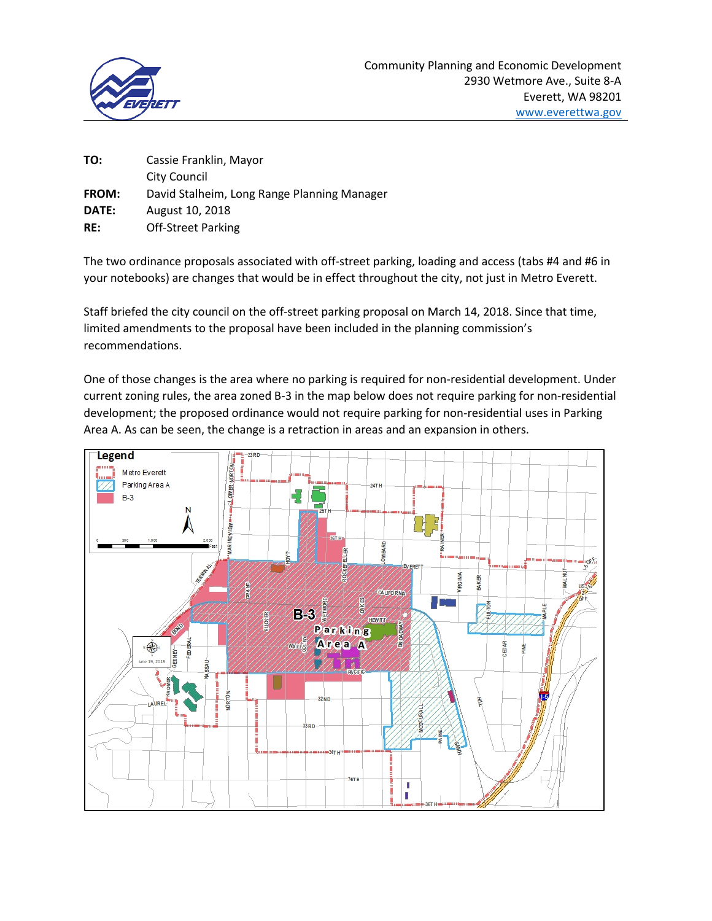

| Cassie Franklin, Mayor                      |
|---------------------------------------------|
| City Council                                |
| David Stalheim, Long Range Planning Manager |
| August 10, 2018                             |
| <b>Off-Street Parking</b>                   |
|                                             |

The two ordinance proposals associated with off-street parking, loading and access (tabs #4 and #6 in your notebooks) are changes that would be in effect throughout the city, not just in Metro Everett.

Staff briefed the city council on the off-street parking proposal on March 14, 2018. Since that time, limited amendments to the proposal have been included in the planning commission's recommendations.

One of those changes is the area where no parking is required for non-residential development. Under current zoning rules, the area zoned B-3 in the map below does not require parking for non-residential development; the proposed ordinance would not require parking for non-residential uses in Parking Area A. As can be seen, the change is a retraction in areas and an expansion in others.